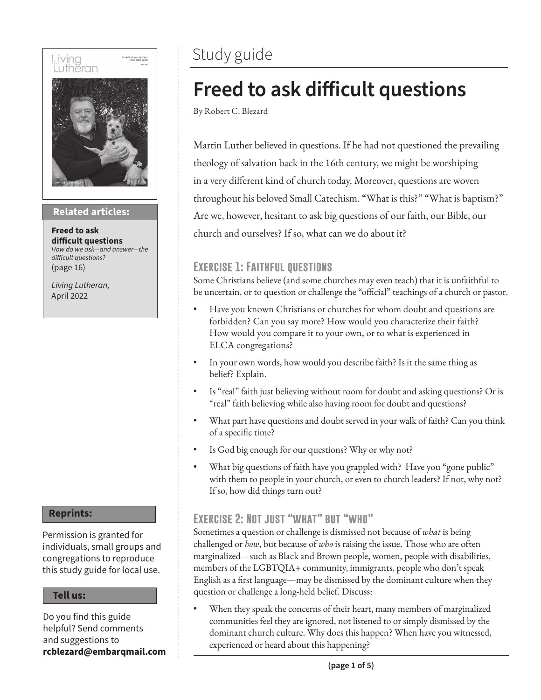# l iving<br>Lutheran



#### **Then sings my soul Related articles:**

**Freed to ask difficult questions** *How do we ask—and answer—the difficult questions?* (page 16)

*Living Lutheran,* April 2022

#### **Reprints:**

Permission is granted for individuals, small groups and congregations to reproduce this study guide for local use.

#### **Tell us:**

Do you find this guide helpful? Send comments and suggestions to **rcblezard@embarqmail.com**

### Study guide

# **Freed to ask difficult questions**

By Robert C. Blezard

Martin Luther believed in questions. If he had not questioned the prevailing theology of salvation back in the 16th century, we might be worshiping in a very different kind of church today. Moreover, questions are woven throughout his beloved Small Catechism. "What is this?" "What is baptism?" Are we, however, hesitant to ask big questions of our faith, our Bible, our church and ourselves? If so, what can we do about it?

#### **Exercise 1: Faithful questions**

Some Christians believe (and some churches may even teach) that it is unfaithful to be uncertain, or to question or challenge the "official" teachings of a church or pastor.

- Have you known Christians or churches for whom doubt and questions are forbidden? Can you say more? How would you characterize their faith? How would you compare it to your own, or to what is experienced in ELCA congregations?
- In your own words, how would you describe faith? Is it the same thing as belief? Explain.
- Is "real" faith just believing without room for doubt and asking questions? Or is "real" faith believing while also having room for doubt and questions?
- What part have questions and doubt served in your walk of faith? Can you think of a specific time?
- Is God big enough for our questions? Why or why not?
- What big questions of faith have you grappled with? Have you "gone public" with them to people in your church, or even to church leaders? If not, why not? If so, how did things turn out?

#### **Exercise 2: Not just "what" but "who"**

Sometimes a question or challenge is dismissed not because of *what* is being challenged or *how*, but because of *who* is raising the issue. Those who are often marginalized—such as Black and Brown people, women, people with disabilities, members of the LGBTQIA+ community, immigrants, people who don't speak English as a first language—may be dismissed by the dominant culture when they question or challenge a long-held belief. Discuss:

When they speak the concerns of their heart, many members of marginalized communities feel they are ignored, not listened to or simply dismissed by the dominant church culture. Why does this happen? When have you witnessed, experienced or heard about this happening?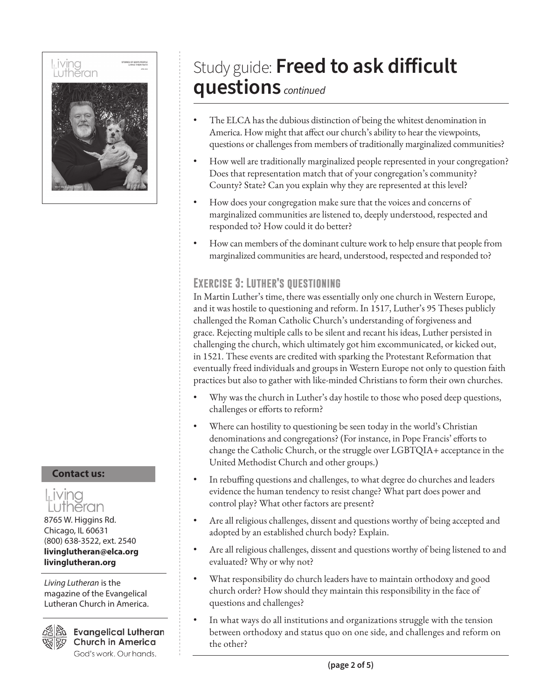

#### **Contact us:**



Chicago, IL 60631 (800) 638-3522, ext. 2540 **livinglutheran@elca.org livinglutheran.org**

*Living Lutheran* is the magazine of the Evangelical Lutheran Church in America.



**Evangelical Lutheran Church in America** God's work. Our hands.

# Study guide: **Freed to ask difficult questions** *continued*

- The ELCA has the dubious distinction of being the whitest denomination in America. How might that affect our church's ability to hear the viewpoints, questions or challenges from members of traditionally marginalized communities?
- How well are traditionally marginalized people represented in your congregation? Does that representation match that of your congregation's community? County? State? Can you explain why they are represented at this level?
- How does your congregation make sure that the voices and concerns of marginalized communities are listened to, deeply understood, respected and responded to? How could it do better?
- How can members of the dominant culture work to help ensure that people from marginalized communities are heard, understood, respected and responded to?

#### **Exercise 3: Luther's questioning**

In Martin Luther's time, there was essentially only one church in Western Europe, and it was hostile to questioning and reform. In 1517, Luther's 95 Theses publicly challenged the Roman Catholic Church's understanding of forgiveness and grace. Rejecting multiple calls to be silent and recant his ideas, Luther persisted in challenging the church, which ultimately got him excommunicated, or kicked out, in 1521. These events are credited with sparking the Protestant Reformation that eventually freed individuals and groups in Western Europe not only to question faith practices but also to gather with like-minded Christians to form their own churches.

- Why was the church in Luther's day hostile to those who posed deep questions, challenges or efforts to reform?
- Where can hostility to questioning be seen today in the world's Christian denominations and congregations? (For instance, in Pope Francis' efforts to change the Catholic Church, or the struggle over LGBTQIA+ acceptance in the United Methodist Church and other groups.)
- In rebuffing questions and challenges, to what degree do churches and leaders evidence the human tendency to resist change? What part does power and control play? What other factors are present?
- Are all religious challenges, dissent and questions worthy of being accepted and adopted by an established church body? Explain.
- Are all religious challenges, dissent and questions worthy of being listened to and evaluated? Why or why not?
- What responsibility do church leaders have to maintain orthodoxy and good church order? How should they maintain this responsibility in the face of questions and challenges?
- In what ways do all institutions and organizations struggle with the tension between orthodoxy and status quo on one side, and challenges and reform on the other?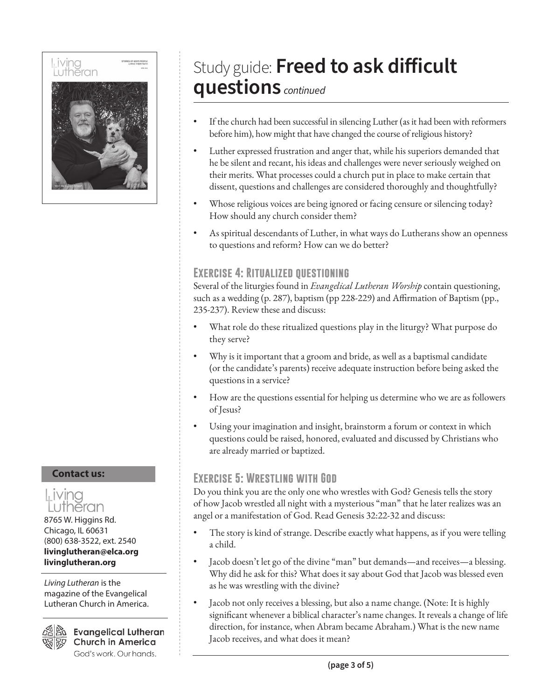

#### **Contact us:**



8765 W. Higgins Rd. Chicago, IL 60631 (800) 638-3522, ext. 2540 **livinglutheran@elca.org livinglutheran.org**

*Living Lutheran* is the magazine of the Evangelical Lutheran Church in America.

**Evangelical Lutheran Church in America** God's work. Our hands.

## Study guide: **Freed to ask difficult questions** *continued*

- If the church had been successful in silencing Luther (as it had been with reformers before him), how might that have changed the course of religious history?
- Luther expressed frustration and anger that, while his superiors demanded that he be silent and recant, his ideas and challenges were never seriously weighed on their merits. What processes could a church put in place to make certain that dissent, questions and challenges are considered thoroughly and thoughtfully?
- Whose religious voices are being ignored or facing censure or silencing today? How should any church consider them?
- As spiritual descendants of Luther, in what ways do Lutherans show an openness to questions and reform? How can we do better?

#### **Exercise 4: Ritualized questioning**

Several of the liturgies found in *Evangelical Lutheran Worship* contain questioning, such as a wedding (p. 287), baptism (pp 228-229) and Affirmation of Baptism (pp., 235-237). Review these and discuss:

- What role do these ritualized questions play in the liturgy? What purpose do they serve?
- Why is it important that a groom and bride, as well as a baptismal candidate (or the candidate's parents) receive adequate instruction before being asked the questions in a service?
- How are the questions essential for helping us determine who we are as followers of Jesus?
- Using your imagination and insight, brainstorm a forum or context in which questions could be raised, honored, evaluated and discussed by Christians who are already married or baptized.

#### **Exercise 5: Wrestling with God**

Do you think you are the only one who wrestles with God? Genesis tells the story of how Jacob wrestled all night with a mysterious "man" that he later realizes was an angel or a manifestation of God. Read Genesis 32:22-32 and discuss:

- The story is kind of strange. Describe exactly what happens, as if you were telling a child.
- Jacob doesn't let go of the divine "man" but demands—and receives—a blessing. Why did he ask for this? What does it say about God that Jacob was blessed even as he was wrestling with the divine?
- Jacob not only receives a blessing, but also a name change. (Note: It is highly significant whenever a biblical character's name changes. It reveals a change of life direction, for instance, when Abram became Abraham.) What is the new name Jacob receives, and what does it mean?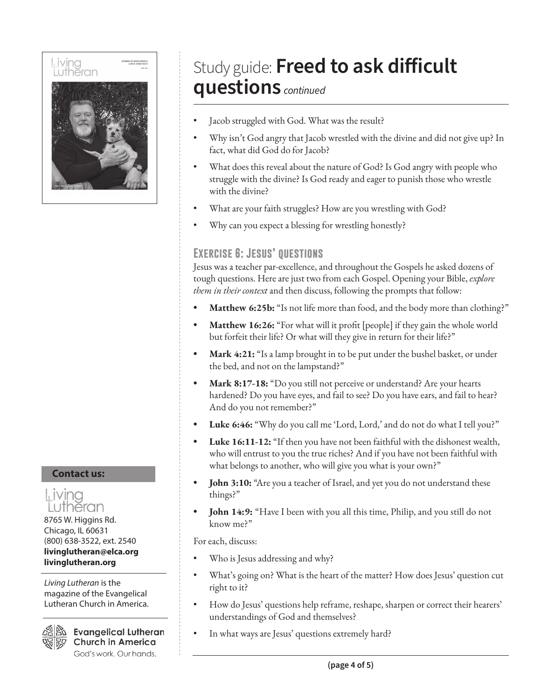

#### **Contact us:**



8765 W. Higgins Rd. Chicago, IL 60631 (800) 638-3522, ext. 2540 **livinglutheran@elca.org livinglutheran.org**

*Living Lutheran* is the magazine of the Evangelical Lutheran Church in America.



**Evangelical Lutheran Church in America** God's work. Our hands.

### Study guide: **Freed to ask difficult questions** *continued*

- Jacob struggled with God. What was the result?
- Why isn't God angry that Jacob wrestled with the divine and did not give up? In fact, what did God do for Jacob?
- What does this reveal about the nature of God? Is God angry with people who struggle with the divine? Is God ready and eager to punish those who wrestle with the divine?
- What are your faith struggles? How are you wrestling with God?
- Why can you expect a blessing for wrestling honestly?

#### **Exercise 6: Jesus' questions**

Jesus was a teacher par-excellence, and throughout the Gospels he asked dozens of tough questions. Here are just two from each Gospel. Opening your Bible, *explore them in their context* and then discuss, following the prompts that follow:

- **• Matthew 6:25b:** "Is not life more than food, and the body more than clothing?"
- **• Matthew 16:26:** "For what will it profit [people] if they gain the whole world but forfeit their life? Or what will they give in return for their life?"
- **• Mark 4:21:** "Is a lamp brought in to be put under the bushel basket, or under the bed, and not on the lampstand?"
- **• Mark 8:17-18:** "Do you still not perceive or understand? Are your hearts hardened? Do you have eyes, and fail to see? Do you have ears, and fail to hear? And do you not remember?"
- **• Luke 6:46:** "Why do you call me 'Lord, Lord,' and do not do what I tell you?"
- **• Luke 16:11-12:** "If then you have not been faithful with the dishonest wealth, who will entrust to you the true riches? And if you have not been faithful with what belongs to another, who will give you what is your own?"
- **John 3:10:** "Are you a teacher of Israel, and yet you do not understand these things?"
- **• John 14:9:** "Have I been with you all this time, Philip, and you still do not know me?"

For each, discuss:

- Who is Jesus addressing and why?
- What's going on? What is the heart of the matter? How does Jesus' question cut right to it?
- How do Jesus' questions help reframe, reshape, sharpen or correct their hearers' understandings of God and themselves?
- In what ways are Jesus' questions extremely hard?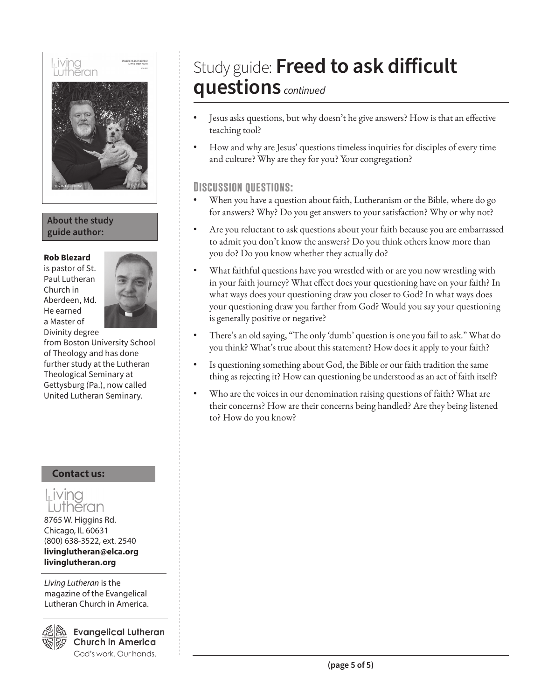

#### **About the study guide author:**

#### **Rob Blezard**

is pastor of St. Paul Lutheran Church in Aberdeen, Md. He earned a Master of Divinity degree



from Boston University School of Theology and has done further study at the Lutheran Theological Seminary at Gettysburg (Pa.), now called United Lutheran Seminary.

#### **Contact us:**

Living .utheran 8765 W. Higgins Rd. Chicago, IL 60631 (800) 638-3522, ext. 2540 **livinglutheran@elca.org livinglutheran.org**

*Living Lutheran* is the magazine of the Evangelical Lutheran Church in America.



**Evangelical Lutheran Church in America** God's work. Our hands.

### Study guide: **Freed to ask difficult questions** *continued*

- Jesus asks questions, but why doesn't he give answers? How is that an effective teaching tool?
- How and why are Jesus' questions timeless inquiries for disciples of every time and culture? Why are they for you? Your congregation?

#### **Discussion questions:**

- When you have a question about faith, Lutheranism or the Bible, where do go for answers? Why? Do you get answers to your satisfaction? Why or why not?
- Are you reluctant to ask questions about your faith because you are embarrassed to admit you don't know the answers? Do you think others know more than you do? Do you know whether they actually do?
- What faithful questions have you wrestled with or are you now wrestling with in your faith journey? What effect does your questioning have on your faith? In what ways does your questioning draw you closer to God? In what ways does your questioning draw you farther from God? Would you say your questioning is generally positive or negative?
- There's an old saying, "The only 'dumb' question is one you fail to ask." What do you think? What's true about this statement? How does it apply to your faith?
- Is questioning something about God, the Bible or our faith tradition the same thing as rejecting it? How can questioning be understood as an act of faith itself?
- Who are the voices in our denomination raising questions of faith? What are their concerns? How are their concerns being handled? Are they being listened to? How do you know?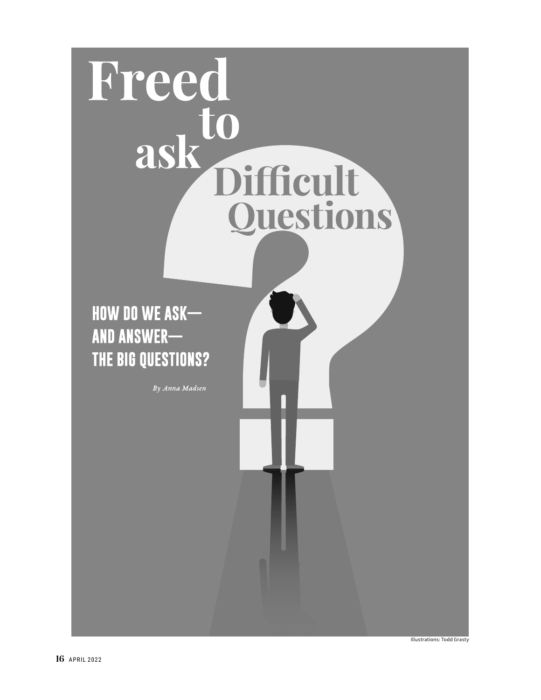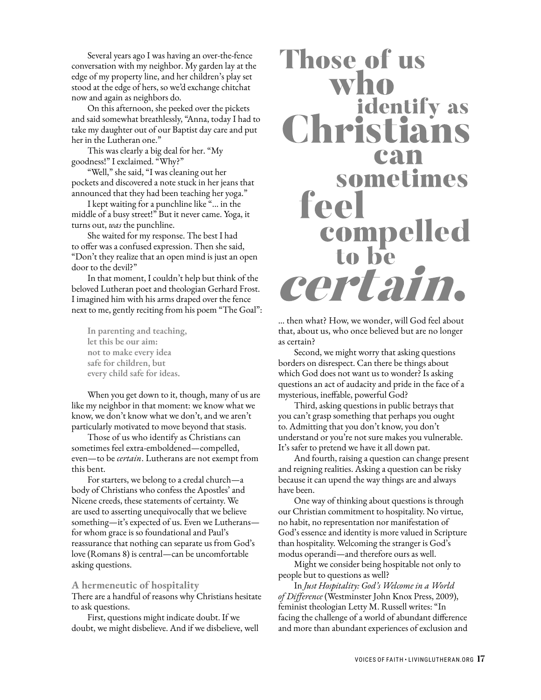Several years ago I was having an over-the-fence conversation with my neighbor. My garden lay at the edge of my property line, and her children's play set stood at the edge of hers, so we'd exchange chitchat now and again as neighbors do.

On this afternoon, she peeked over the pickets and said somewhat breathlessly, "Anna, today I had to take my daughter out of our Baptist day care and put her in the Lutheran one."

This was clearly a big deal for her. "My goodness!" I exclaimed. "Why?"

"Well," she said, "I was cleaning out her pockets and discovered a note stuck in her jeans that announced that they had been teaching her yoga."

I kept waiting for a punchline like "... in the middle of a busy street!" But it never came. Yoga, it turns out, *was* the punchline.

She waited for my response. The best I had to offer was a confused expression. Then she said, "Don't they realize that an open mind is just an open door to the devil?"

In that moment, I couldn't help but think of the beloved Lutheran poet and theologian Gerhard Frost. I imagined him with his arms draped over the fence next to me, gently reciting from his poem "The Goal":

**In parenting and teaching, let this be our aim: not to make every idea safe for children, but every child safe for ideas.**

When you get down to it, though, many of us are like my neighbor in that moment: we know what we know, we don't know what we don't, and we aren't particularly motivated to move beyond that stasis.

Those of us who identify as Christians can sometimes feel extra-emboldened—compelled, even—to be *certain*. Lutherans are not exempt from this bent.

For starters, we belong to a credal church—a body of Christians who confess the Apostles' and Nicene creeds, these statements of certainty. We are used to asserting unequivocally that we believe something—it's expected of us. Even we Lutherans for whom grace is so foundational and Paul's reassurance that nothing can separate us from God's love (Romans 8) is central—can be uncomfortable asking questions.

#### **A hermeneutic of hospitality**

There are a handful of reasons why Christians hesitate to ask questions.

First, questions might indicate doubt. If we doubt, we might disbelieve. And if we disbelieve, well

# **Those of us** who identify as Christians can sometimes feel compelled to be to be<br>certain.

… then what? How, we wonder, will God feel about that, about us, who once believed but are no longer as certain?

Second, we might worry that asking questions borders on disrespect. Can there be things about which God does not want us to wonder? Is asking questions an act of audacity and pride in the face of a mysterious, ineffable, powerful God?

Third, asking questions in public betrays that you can't grasp something that perhaps you ought to. Admitting that you don't know, you don't understand or you're not sure makes you vulnerable. It's safer to pretend we have it all down pat.

And fourth, raising a question can change present and reigning realities. Asking a question can be risky because it can upend the way things are and always have been.

One way of thinking about questions is through our Christian commitment to hospitality. No virtue, no habit, no representation nor manifestation of God's essence and identity is more valued in Scripture than hospitality. Welcoming the stranger is God's modus operandi—and therefore ours as well.

Might we consider being hospitable not only to people but to questions as well?

In *Just Hospitality: God's Welcome in a World of Difference* (Westminster John Knox Press, 2009), feminist theologian Letty M. Russell writes: "In facing the challenge of a world of abundant difference and more than abundant experiences of exclusion and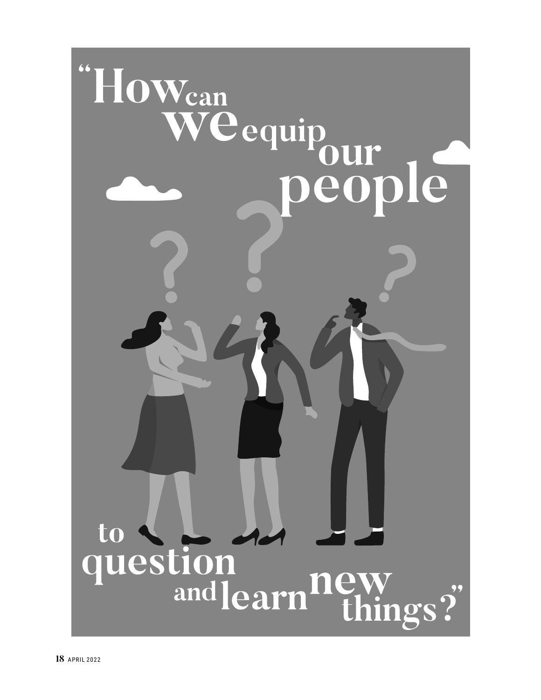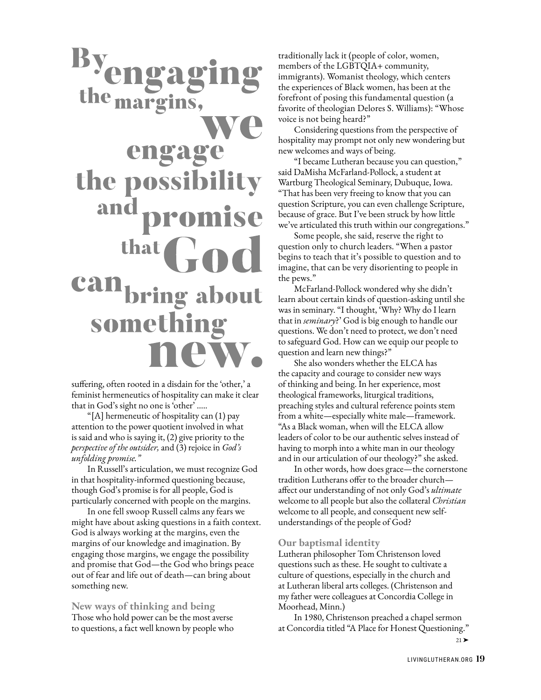# Byengag the margins, engage the possibil and promise that can bring about something

suffering, often rooted in a disdain for the 'other,' a feminist hermeneutics of hospitality can make it clear that in God's sight no one is 'other' .….

"[A] hermeneutic of hospitality can (1) pay attention to the power quotient involved in what is said and who is saying it, (2) give priority to the *perspective of the outsider,* and (3) rejoice in *God's unfolding promise."* 

In Russell's articulation, we must recognize God in that hospitality-informed questioning because, though God's promise is for all people, God is particularly concerned with people on the margins.

In one fell swoop Russell calms any fears we might have about asking questions in a faith context. God is always working at the margins, even the margins of our knowledge and imagination. By engaging those margins, we engage the possibility and promise that God—the God who brings peace out of fear and life out of death—can bring about something new.

**New ways of thinking and being** Those who hold power can be the most averse to questions, a fact well known by people who traditionally lack it (people of color, women, members of the LGBTQIA+ community, immigrants). Womanist theology, which centers the experiences of Black women, has been at the forefront of posing this fundamental question (a favorite of theologian Delores S. Williams): "Whose voice is not being heard?"

Considering questions from the perspective of hospitality may prompt not only new wondering but new welcomes and ways of being.

"I became Lutheran because you can question," said DaMisha McFarland-Pollock, a student at Wartburg Theological Seminary, Dubuque, Iowa. "That has been very freeing to know that you can question Scripture, you can even challenge Scripture, because of grace. But I've been struck by how little we've articulated this truth within our congregations."

Some people, she said, reserve the right to question only to church leaders. "When a pastor begins to teach that it's possible to question and to imagine, that can be very disorienting to people in the pews."

McFarland-Pollock wondered why she didn't learn about certain kinds of question-asking until she was in seminary. "I thought, 'Why? Why do I learn that in *seminary*?' God is big enough to handle our questions. We don't need to protect, we don't need to safeguard God. How can we equip our people to question and learn new things?"

She also wonders whether the ELCA has the capacity and courage to consider new ways of thinking and being. In her experience, most theological frameworks, liturgical traditions, preaching styles and cultural reference points stem from a white—especially white male—framework. "As a Black woman, when will the ELCA allow leaders of color to be our authentic selves instead of having to morph into a white man in our theology and in our articulation of our theology?" she asked.

In other words, how does grace—the cornerstone tradition Lutherans offer to the broader church affect our understanding of not only God's *ultimate* welcome to all people but also the collateral *Christian* welcome to all people, and consequent new selfunderstandings of the people of God?

#### **Our baptismal identity**

Lutheran philosopher Tom Christenson loved questions such as these. He sought to cultivate a culture of questions, especially in the church and at Lutheran liberal arts colleges. (Christenson and my father were colleagues at Concordia College in Moorhead, Minn.)

In 1980, Christenson preached a chapel sermon at Concordia titled "A Place for Honest Questioning."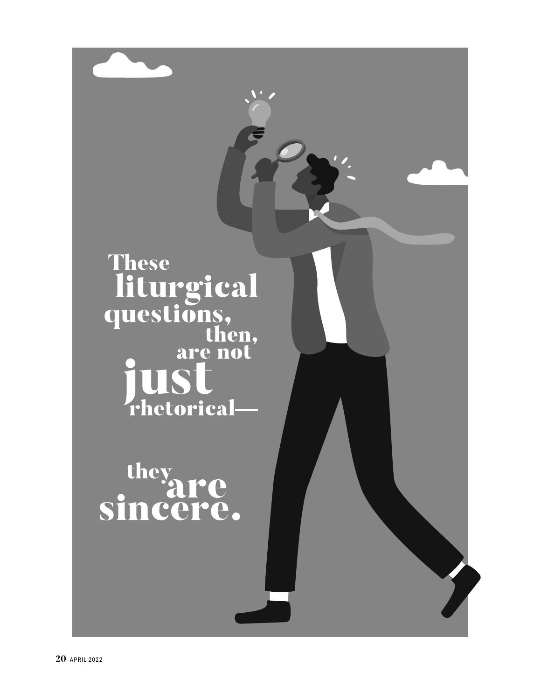

they<br>sincere.